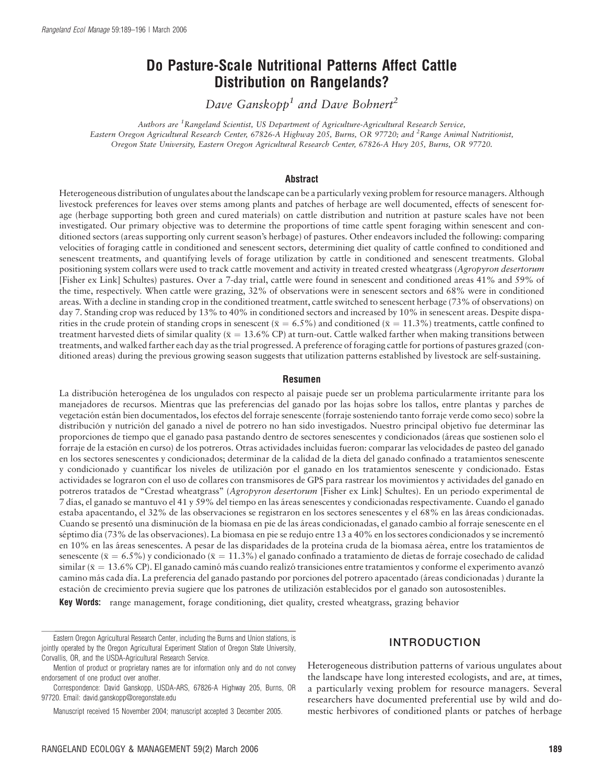# Do Pasture-Scale Nutritional Patterns Affect Cattle Distribution on Rangelands?

Dave Ganskopp<sup>1</sup> and Dave Bohnert<sup>2</sup>

Authors are <sup>1</sup> Rangeland Scientist, US Department of Agriculture-Agricultural Research Service, Eastern Oregon Agricultural Research Center, 67826-A Highway 205, Burns, OR 97720; and <sup>2</sup>Range Animal Nutritionist, Oregon State University, Eastern Oregon Agricultural Research Center, 67826-A Hwy 205, Burns, OR 97720.

#### **Abstract**

Heterogeneous distribution of ungulates about the landscape can be a particularly vexing problem for resource managers. Although livestock preferences for leaves over stems among plants and patches of herbage are well documented, effects of senescent forage (herbage supporting both green and cured materials) on cattle distribution and nutrition at pasture scales have not been investigated. Our primary objective was to determine the proportions of time cattle spent foraging within senescent and conditioned sectors (areas supporting only current season's herbage) of pastures. Other endeavors included the following: comparing velocities of foraging cattle in conditioned and senescent sectors, determining diet quality of cattle confined to conditioned and senescent treatments, and quantifying levels of forage utilization by cattle in conditioned and senescent treatments. Global positioning system collars were used to track cattle movement and activity in treated crested wheatgrass (Agropyron desertorum [Fisher ex Link] Schultes) pastures. Over a 7-day trial, cattle were found in senescent and conditioned areas 41% and 59% of the time, respectively. When cattle were grazing, 32% of observations were in senescent sectors and 68% were in conditioned areas. With a decline in standing crop in the conditioned treatment, cattle switched to senescent herbage (73% of observations) on day 7. Standing crop was reduced by 13% to 40% in conditioned sectors and increased by 10% in senescent areas. Despite disparities in the crude protein of standing crops in senescent ( $\bar{x} = 6.5\%$ ) and conditioned ( $\bar{x} = 11.3\%$ ) treatments, cattle confined to treatment harvested diets of similar quality ( $\bar{x} = 13.6\%$  CP) at turn-out. Cattle walked farther when making transitions between treatments, and walked farther each day as the trial progressed. A preference of foraging cattle for portions of pastures grazed (conditioned areas) during the previous growing season suggests that utilization patterns established by livestock are self-sustaining.

#### Resumen

La distribución heterogénea de los ungulados con respecto al paisaje puede ser un problema particularmente irritante para los manejadores de recursos. Mientras que las preferencias del ganado por las hojas sobre los tallos, entre plantas y parches de vegetacio´n esta´n bien documentados, los efectos del forraje senescente (forraje sosteniendo tanto forraje verde como seco) sobre la distribución y nutrición del ganado a nivel de potrero no han sido investigados. Nuestro principal objetivo fue determinar las proporciones de tiempo que el ganado pasa pastando dentro de sectores senescentes y condicionados (áreas que sostienen solo el forraje de la estación en curso) de los potreros. Otras actividades incluidas fueron: comparar las velocidades de pasteo del ganado en los sectores senescentes y condicionados; determinar de la calidad de la dieta del ganado confinado a tratamientos senescente y condicionado y cuantificar los niveles de utilización por el ganado en los tratamientos senescente y condicionado. Estas actividades se lograron con el uso de collares con transmisores de GPS para rastrear los movimientos y actividades del ganado en potreros tratados de "Crestad wheatgrass" (Agropyron desertorum [Fisher ex Link] Schultes). En un periodo experimental de 7 dı´as, el ganado se mantuvo el 41 y 59% del tiempo en las a´reas senescentes y condicionadas respectivamente. Cuando el ganado estaba apacentando, el 32% de las observaciones se registraron en los sectores senescentes y el 68% en las áreas condicionadas. Cuando se presentó una disminución de la biomasa en pie de las áreas condicionadas, el ganado cambio al forraje senescente en el séptimo día (73% de las observaciones). La biomasa en pie se redujo entre 13 a 40% en los sectores condicionados y se incrementó en 10% en las áreas senescentes. A pesar de las disparidades de la proteína cruda de la biomasa aérea, entre los tratamientos de senescente ( $\bar{x} = 6.5\%$ ) y condicionado ( $\bar{x} = 11.3\%$ ) el ganado confinado a tratamiento de dietas de forraje cosechado de calidad similar ( $\bar{x} = 13.6\%$  CP). El ganado caminó más cuando realizó transiciones entre tratamientos y conforme el experimento avanzó camino más cada día. La preferencia del ganado pastando por porciones del potrero apacentado (áreas condicionadas) durante la estación de crecimiento previa sugiere que los patrones de utilización establecidos por el ganado son autosostenibles.

Key Words: range management, forage conditioning, diet quality, crested wheatgrass, grazing behavior

## INTRODUCTION

Heterogeneous distribution patterns of various ungulates about the landscape have long interested ecologists, and are, at times, a particularly vexing problem for resource managers. Several researchers have documented preferential use by wild and domestic herbivores of conditioned plants or patches of herbage

Eastern Oregon Agricultural Research Center, including the Burns and Union stations, is jointly operated by the Oregon Agricultural Experiment Station of Oregon State University, Corvallis, OR, and the USDA-Agricultural Research Service.

Mention of product or proprietary names are for information only and do not convey endorsement of one product over another.

Correspondence: David Ganskopp, USDA-ARS, 67826-A Highway 205, Burns, OR 97720. Email: david.ganskopp@oregonstate.edu

Manuscript received 15 November 2004; manuscript accepted 3 December 2005.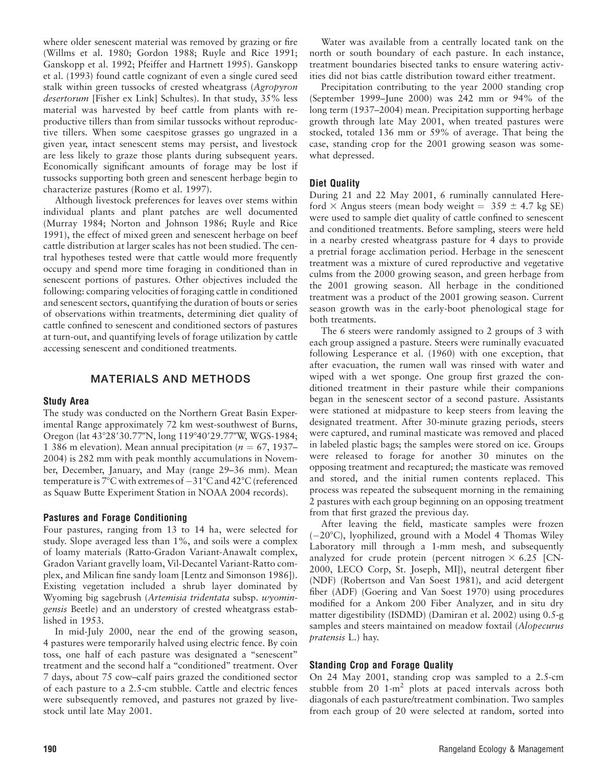where older senescent material was removed by grazing or fire (Willms et al. 1980; Gordon 1988; Ruyle and Rice 1991; Ganskopp et al. 1992; Pfeiffer and Hartnett 1995). Ganskopp et al. (1993) found cattle cognizant of even a single cured seed stalk within green tussocks of crested wheatgrass (Agropyron desertorum [Fisher ex Link] Schultes). In that study, 35% less material was harvested by beef cattle from plants with reproductive tillers than from similar tussocks without reproductive tillers. When some caespitose grasses go ungrazed in a given year, intact senescent stems may persist, and livestock are less likely to graze those plants during subsequent years. Economically significant amounts of forage may be lost if tussocks supporting both green and senescent herbage begin to characterize pastures (Romo et al. 1997).

Although livestock preferences for leaves over stems within individual plants and plant patches are well documented (Murray 1984; Norton and Johnson 1986; Ruyle and Rice 1991), the effect of mixed green and senescent herbage on beef cattle distribution at larger scales has not been studied. The central hypotheses tested were that cattle would more frequently occupy and spend more time foraging in conditioned than in senescent portions of pastures. Other objectives included the following: comparing velocities of foraging cattle in conditioned and senescent sectors, quantifying the duration of bouts or series of observations within treatments, determining diet quality of cattle confined to senescent and conditioned sectors of pastures at turn-out, and quantifying levels of forage utilization by cattle accessing senescent and conditioned treatments.

## MATERIALS AND METHODS

#### Study Area

The study was conducted on the Northern Great Basin Experimental Range approximately 72 km west-southwest of Burns, Oregon (lat 43°28′30.77″N, long 119°40′29.77″W, WGS-1984; 1 386 m elevation). Mean annual precipitation ( $n = 67$ , 1937– 2004) is 282 mm with peak monthly accumulations in November, December, January, and May (range 29–36 mm). Mean temperature is  $7^{\circ}$ C with extremes of  $-31^{\circ}$ C and  $42^{\circ}$ C (referenced as Squaw Butte Experiment Station in NOAA 2004 records).

#### Pastures and Forage Conditioning

Four pastures, ranging from 13 to 14 ha, were selected for study. Slope averaged less than 1%, and soils were a complex of loamy materials (Ratto-Gradon Variant-Anawalt complex, Gradon Variant gravelly loam, Vil-Decantel Variant-Ratto complex, and Milican fine sandy loam [Lentz and Simonson 1986]). Existing vegetation included a shrub layer dominated by Wyoming big sagebrush (Artemisia tridentata subsp. wyomingensis Beetle) and an understory of crested wheatgrass established in 1953.

In mid-July 2000, near the end of the growing season, 4 pastures were temporarily halved using electric fence. By coin toss, one half of each pasture was designated a ''senescent'' treatment and the second half a ''conditioned'' treatment. Over 7 days, about 75 cow–calf pairs grazed the conditioned sector of each pasture to a 2.5-cm stubble. Cattle and electric fences were subsequently removed, and pastures not grazed by livestock until late May 2001.

Water was available from a centrally located tank on the north or south boundary of each pasture. In each instance, treatment boundaries bisected tanks to ensure watering activities did not bias cattle distribution toward either treatment.

Precipitation contributing to the year 2000 standing crop (September 1999–June 2000) was 242 mm or 94% of the long term (1937–2004) mean. Precipitation supporting herbage growth through late May 2001, when treated pastures were stocked, totaled 136 mm or 59% of average. That being the case, standing crop for the 2001 growing season was somewhat depressed.

## Diet Quality

During 21 and 22 May 2001, 6 ruminally cannulated Hereford  $\times$  Angus steers (mean body weight = 359  $\pm$  4.7 kg SE) were used to sample diet quality of cattle confined to senescent and conditioned treatments. Before sampling, steers were held in a nearby crested wheatgrass pasture for 4 days to provide a pretrial forage acclimation period. Herbage in the senescent treatment was a mixture of cured reproductive and vegetative culms from the 2000 growing season, and green herbage from the 2001 growing season. All herbage in the conditioned treatment was a product of the 2001 growing season. Current season growth was in the early-boot phenological stage for both treatments.

The 6 steers were randomly assigned to 2 groups of 3 with each group assigned a pasture. Steers were ruminally evacuated following Lesperance et al. (1960) with one exception, that after evacuation, the rumen wall was rinsed with water and wiped with a wet sponge. One group first grazed the conditioned treatment in their pasture while their companions began in the senescent sector of a second pasture. Assistants were stationed at midpasture to keep steers from leaving the designated treatment. After 30-minute grazing periods, steers were captured, and ruminal masticate was removed and placed in labeled plastic bags; the samples were stored on ice. Groups were released to forage for another 30 minutes on the opposing treatment and recaptured; the masticate was removed and stored, and the initial rumen contents replaced. This process was repeated the subsequent morning in the remaining 2 pastures with each group beginning on an opposing treatment from that first grazed the previous day.

After leaving the field, masticate samples were frozen  $(-20^{\circ}C)$ , lyophilized, ground with a Model 4 Thomas Wiley Laboratory mill through a 1-mm mesh, and subsequently analyzed for crude protein (percent nitrogen  $\times$  6.25 [CN-2000, LECO Corp, St. Joseph, MI]), neutral detergent fiber (NDF) (Robertson and Van Soest 1981), and acid detergent fiber (ADF) (Goering and Van Soest 1970) using procedures modified for a Ankom 200 Fiber Analyzer, and in situ dry matter digestibility (ISDMD) (Damiran et al. 2002) using 0.5-g samples and steers maintained on meadow foxtail (Alopecurus pratensis L.) hay.

#### Standing Crop and Forage Quality

On 24 May 2001, standing crop was sampled to a 2.5-cm stubble from  $20 \text{ 1-m}^2$  plots at paced intervals across both diagonals of each pasture/treatment combination. Two samples from each group of 20 were selected at random, sorted into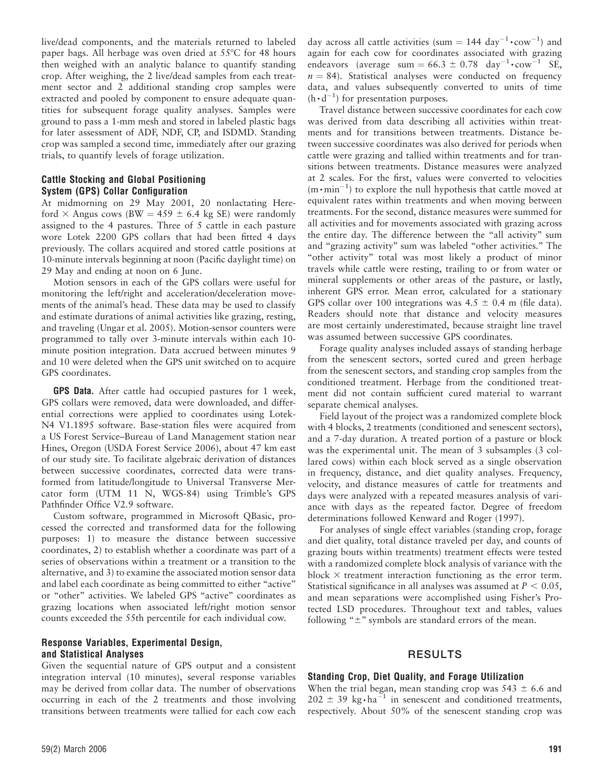live/dead components, and the materials returned to labeled paper bags. All herbage was oven dried at  $55^{\circ}$ C for 48 hours then weighed with an analytic balance to quantify standing crop. After weighing, the 2 live/dead samples from each treatment sector and 2 additional standing crop samples were extracted and pooled by component to ensure adequate quantities for subsequent forage quality analyses. Samples were ground to pass a 1-mm mesh and stored in labeled plastic bags for later assessment of ADF, NDF, CP, and ISDMD. Standing crop was sampled a second time, immediately after our grazing trials, to quantify levels of forage utilization.

## Cattle Stocking and Global Positioning System (GPS) Collar Configuration

At midmorning on 29 May 2001, 20 nonlactating Hereford  $\times$  Angus cows (BW = 459  $\pm$  6.4 kg SE) were randomly assigned to the 4 pastures. Three of 5 cattle in each pasture wore Lotek 2200 GPS collars that had been fitted 4 days previously. The collars acquired and stored cattle positions at 10-minute intervals beginning at noon (Pacific daylight time) on 29 May and ending at noon on 6 June.

Motion sensors in each of the GPS collars were useful for monitoring the left/right and acceleration/deceleration movements of the animal's head. These data may be used to classify and estimate durations of animal activities like grazing, resting, and traveling (Ungar et al. 2005). Motion-sensor counters were programmed to tally over 3-minute intervals within each 10 minute position integration. Data accrued between minutes 9 and 10 were deleted when the GPS unit switched on to acquire GPS coordinates.

GPS Data. After cattle had occupied pastures for 1 week, GPS collars were removed, data were downloaded, and differential corrections were applied to coordinates using Lotek-N4 V1.1895 software. Base-station files were acquired from a US Forest Service–Bureau of Land Management station near Hines, Oregon (USDA Forest Service 2006), about 47 km east of our study site. To facilitate algebraic derivation of distances between successive coordinates, corrected data were transformed from latitude/longitude to Universal Transverse Mercator form (UTM 11 N, WGS-84) using Trimble's GPS Pathfinder Office V2.9 software.

Custom software, programmed in Microsoft QBasic, processed the corrected and transformed data for the following purposes: 1) to measure the distance between successive coordinates, 2) to establish whether a coordinate was part of a series of observations within a treatment or a transition to the alternative, and 3) to examine the associated motion sensor data and label each coordinate as being committed to either "active" or ''other'' activities. We labeled GPS ''active'' coordinates as grazing locations when associated left/right motion sensor counts exceeded the 55th percentile for each individual cow.

## Response Variables, Experimental Design, and Statistical Analyses

Given the sequential nature of GPS output and a consistent integration interval (10 minutes), several response variables may be derived from collar data. The number of observations occurring in each of the 2 treatments and those involving transitions between treatments were tallied for each cow each

day across all cattle activities (sum = 144  $\rm day^{-1} \cdot \rm cow^{-1}$ ) and again for each cow for coordinates associated with grazing endeavors (average sum =  $66.3 \pm 0.78$  day<sup>-1</sup>  $\cdot$  cow<sup>-1</sup> SE,  $n = 84$ ). Statistical analyses were conducted on frequency data, and values subsequently converted to units of time  $(h \cdot d^{-1})$  for presentation purposes.

Travel distance between successive coordinates for each cow was derived from data describing all activities within treatments and for transitions between treatments. Distance between successive coordinates was also derived for periods when cattle were grazing and tallied within treatments and for transitions between treatments. Distance measures were analyzed at 2 scales. For the first, values were converted to velocities  $(m \cdot min^{-1})$  to explore the null hypothesis that cattle moved at equivalent rates within treatments and when moving between treatments. For the second, distance measures were summed for all activities and for movements associated with grazing across the entire day. The difference between the "all activity" sum and ''grazing activity'' sum was labeled ''other activities.'' The "other activity" total was most likely a product of minor travels while cattle were resting, trailing to or from water or mineral supplements or other areas of the pasture, or lastly, inherent GPS error. Mean error, calculated for a stationary GPS collar over 100 integrations was  $4.5 \pm 0.4$  m (file data). Readers should note that distance and velocity measures are most certainly underestimated, because straight line travel was assumed between successive GPS coordinates.

Forage quality analyses included assays of standing herbage from the senescent sectors, sorted cured and green herbage from the senescent sectors, and standing crop samples from the conditioned treatment. Herbage from the conditioned treatment did not contain sufficient cured material to warrant separate chemical analyses.

Field layout of the project was a randomized complete block with 4 blocks, 2 treatments (conditioned and senescent sectors), and a 7-day duration. A treated portion of a pasture or block was the experimental unit. The mean of 3 subsamples (3 collared cows) within each block served as a single observation in frequency, distance, and diet quality analyses. Frequency, velocity, and distance measures of cattle for treatments and days were analyzed with a repeated measures analysis of variance with days as the repeated factor. Degree of freedom determinations followed Kenward and Roger (1997).

For analyses of single effect variables (standing crop, forage and diet quality, total distance traveled per day, and counts of grazing bouts within treatments) treatment effects were tested with a randomized complete block analysis of variance with the block  $\times$  treatment interaction functioning as the error term. Statistical significance in all analyses was assumed at  $P < 0.05$ , and mean separations were accomplished using Fisher's Protected LSD procedures. Throughout text and tables, values following " $\pm$ " symbols are standard errors of the mean.

## RESULTS

#### Standing Crop, Diet Quality, and Forage Utilization

When the trial began, mean standing crop was  $543 \pm 6.6$  and  $202 \pm 39$  kg $\cdot$ ha<sup>-1</sup> in senescent and conditioned treatments, respectively. About 50% of the senescent standing crop was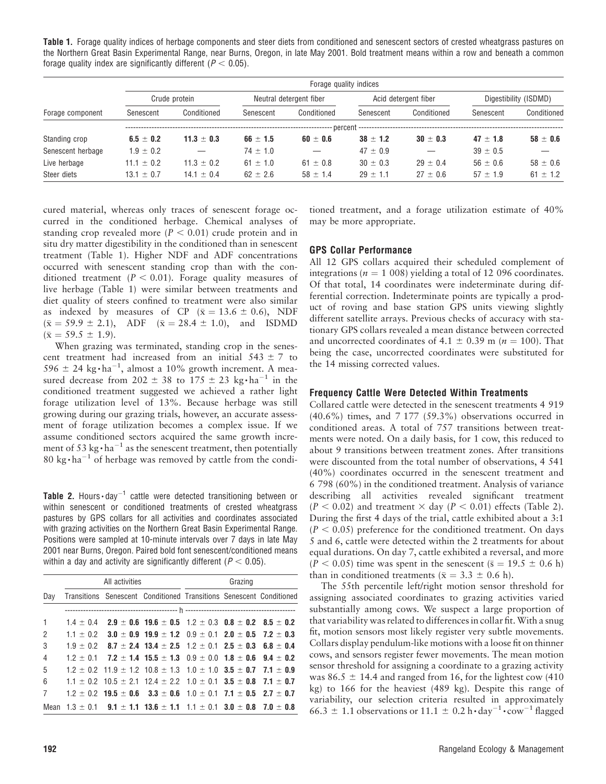Table 1. Forage quality indices of herbage components and steer diets from conditioned and senescent sectors of crested wheatgrass pastures on the Northern Great Basin Experimental Range, near Burns, Oregon, in late May 2001. Bold treatment means within a row and beneath a common forage quality index are significantly different ( $P < 0.05$ ).

|                   | Forage quality indices |                |              |                         |              |                      |              |                       |
|-------------------|------------------------|----------------|--------------|-------------------------|--------------|----------------------|--------------|-----------------------|
|                   |                        | Crude protein  |              | Neutral detergent fiber |              | Acid detergent fiber |              | Digestibility (ISDMD) |
| Forage component  | Senescent              | Conditioned    | Senescent    | Conditioned             | Senescent    | Conditioned          | Senescent    | Conditioned           |
|                   |                        |                |              |                         |              |                      |              |                       |
| Standing crop     | $6.5 \pm 0.2$          | $11.3 \pm 0.3$ | $66 \pm 1.5$ | $60 \pm 0.6$            | $38 \pm 1.2$ | $30 \pm 0.3$         | $47 \pm 1.8$ | $58 \pm 0.6$          |
| Senescent herbage | $1.9 \pm 0.2$          |                | $74 \pm 1.0$ |                         | $47 \pm 0.9$ |                      | $39 \pm 0.5$ |                       |
| Live herbage      | $11.1 \pm 0.2$         | $11.3 \pm 0.2$ | $61 \pm 1.0$ | $61 \pm 0.8$            | $30 \pm 0.3$ | $29 \pm 0.4$         | $56 \pm 0.6$ | $58 \pm 0.6$          |
| Steer diets       | $13.1 \pm 0.7$         | $14.1 \pm 0.4$ | $62 \pm 2.6$ | $58 \pm 1.4$            | $29 + 11$    | $27 \pm 0.6$         | $57 + 1.9$   | $61 \pm 1.2$          |

cured material, whereas only traces of senescent forage occurred in the conditioned herbage. Chemical analyses of standing crop revealed more ( $P < 0.01$ ) crude protein and in situ dry matter digestibility in the conditioned than in senescent treatment (Table 1). Higher NDF and ADF concentrations occurred with senescent standing crop than with the conditioned treatment ( $P < 0.01$ ). Forage quality measures of live herbage (Table 1) were similar between treatments and diet quality of steers confined to treatment were also similar as indexed by measures of CP ( $\bar{x} = 13.6 \pm 0.6$ ), NDF  $(\bar{x} = 59.9 \pm 2.1)$ , ADF  $(\bar{x} = 28.4 \pm 1.0)$ , and ISDMD  $(\bar{x} = 59.5 \pm 1.9).$ 

When grazing was terminated, standing crop in the senescent treatment had increased from an initial  $543 \pm 7$  to  $596 \pm 24$  kg $\cdot$ ha<sup>-1</sup>, almost a 10% growth increment. A measured decrease from  $202 \pm 38$  to  $175 \pm 23$  kg $\cdot$ ha<sup>-1</sup> in the conditioned treatment suggested we achieved a rather light forage utilization level of 13%. Because herbage was still growing during our grazing trials, however, an accurate assessment of forage utilization becomes a complex issue. If we assume conditioned sectors acquired the same growth increment of 53  $\text{kg} \cdot \text{ha}^{-1}$  as the senescent treatment, then potentially 80 kg $\cdot$  ha<sup>-1</sup> of herbage was removed by cattle from the condi-

Table 2. Hours $\cdot$ day $^{-1}$  cattle were detected transitioning between or within senescent or conditioned treatments of crested wheatgrass pastures by GPS collars for all activities and coordinates associated with grazing activities on the Northern Great Basin Experimental Range. Positions were sampled at 10-minute intervals over 7 days in late May 2001 near Burns, Oregon. Paired bold font senescent/conditioned means within a day and activity are significantly different ( $P < 0.05$ ).

|                |  | All activities |                                                                                                            | Grazing |  |  |  |  |
|----------------|--|----------------|------------------------------------------------------------------------------------------------------------|---------|--|--|--|--|
|                |  |                | Day Transitions Senescent Conditioned Transitions Senescent Conditioned                                    |         |  |  |  |  |
|                |  |                |                                                                                                            |         |  |  |  |  |
| 1              |  |                | $1.4 \pm 0.4$ 2.9 $\pm$ 0.6 19.6 $\pm$ 0.5 1.2 $\pm$ 0.3 0.8 $\pm$ 0.2 8.5 $\pm$ 0.2                       |         |  |  |  |  |
| 2              |  |                | $1.1 \pm 0.2$ 3.0 $\pm$ 0.9 19.9 $\pm$ 1.2 0.9 $\pm$ 0.1 2.0 $\pm$ 0.5 7.2 $\pm$ 0.3                       |         |  |  |  |  |
| 3              |  |                | $1.9 \pm 0.2$ 8.7 $\pm$ 2.4 13.4 $\pm$ 2.5 1.2 $\pm$ 0.1 2.5 $\pm$ 0.3 6.8 $\pm$ 0.4                       |         |  |  |  |  |
| $\overline{4}$ |  |                | $1.2 \pm 0.1$ 7.2 $\pm$ 1.4 15.5 $\pm$ 1.3 0.9 $\pm$ 0.0 1.8 $\pm$ 0.6 9.4 $\pm$ 0.2                       |         |  |  |  |  |
| 5              |  |                | $1.2 \pm 0.2$ 11.9 $\pm$ 1.2 10.8 $\pm$ 1.3 1.0 $\pm$ 1.0 3.5 $\pm$ 0.7 7.1 $\pm$ 0.9                      |         |  |  |  |  |
| 6              |  |                | $1.1 \pm 0.2$ 10.5 $\pm$ 2.1 12.4 $\pm$ 2.2 1.0 $\pm$ 0.1 <b>3.5</b> $\pm$ <b>0.8 7.1</b> $\pm$ <b>0.7</b> |         |  |  |  |  |
| 7              |  |                | $1.2 \pm 0.2$ 19.5 $\pm$ 0.6 3.3 $\pm$ 0.6 1.0 $\pm$ 0.1 7.1 $\pm$ 0.5 2.7 $\pm$ 0.7                       |         |  |  |  |  |
|                |  |                | Mean $1.3 \pm 0.1$ 9.1 $\pm$ 1.1 13.6 $\pm$ 1.1 1.1 $\pm$ 0.1 3.0 $\pm$ 0.8 7.0 $\pm$ 0.8                  |         |  |  |  |  |

tioned treatment, and a forage utilization estimate of 40% may be more appropriate.

#### GPS Collar Performance

All 12 GPS collars acquired their scheduled complement of integrations ( $n = 1008$ ) yielding a total of 12096 coordinates. Of that total, 14 coordinates were indeterminate during differential correction. Indeterminate points are typically a product of roving and base station GPS units viewing slightly different satellite arrays. Previous checks of accuracy with stationary GPS collars revealed a mean distance between corrected and uncorrected coordinates of 4.1  $\pm$  0.39 m (n = 100). That being the case, uncorrected coordinates were substituted for the 14 missing corrected values.

#### Frequency Cattle Were Detected Within Treatments

Collared cattle were detected in the senescent treatments 4 919 (40.6%) times, and 7 177 (59.3%) observations occurred in conditioned areas. A total of 757 transitions between treatments were noted. On a daily basis, for 1 cow, this reduced to about 9 transitions between treatment zones. After transitions were discounted from the total number of observations, 4 541 (40%) coordinates occurred in the senescent treatment and 6 798 (60%) in the conditioned treatment. Analysis of variance describing all activities revealed significant treatment  $(P < 0.02)$  and treatment  $\times$  day  $(P < 0.01)$  effects (Table 2). During the first 4 days of the trial, cattle exhibited about a 3:1  $(P < 0.05)$  preference for the conditioned treatment. On days 5 and 6, cattle were detected within the 2 treatments for about equal durations. On day 7, cattle exhibited a reversal, and more  $(P < 0.05)$  time was spent in the senescent ( $\bar{s} = 19.5 \pm 0.6$  h) than in conditioned treatments ( $\bar{x} = 3.3 \pm 0.6$  h).

The 55th percentile left/right motion sensor threshold for assigning associated coordinates to grazing activities varied substantially among cows. We suspect a large proportion of that variability was related to differences in collar fit. With a snug fit, motion sensors most likely register very subtle movements. Collars display pendulum-like motions with a loose fit on thinner cows, and sensors register fewer movements. The mean motion sensor threshold for assigning a coordinate to a grazing activity was 86.5  $\pm$  14.4 and ranged from 16, for the lightest cow (410) kg) to 166 for the heaviest (489 kg). Despite this range of variability, our selection criteria resulted in approximately 66.3  $\pm$  1.1 observations or 11.1  $\pm$  0.2 h · day<sup>-1</sup> · cow<sup>-1</sup> flagged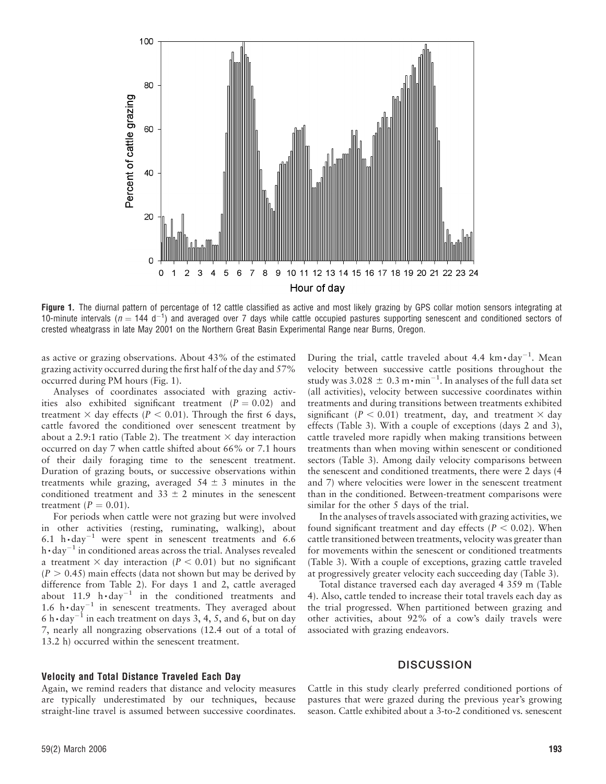

Figure 1. The diurnal pattern of percentage of 12 cattle classified as active and most likely grazing by GPS collar motion sensors integrating at 10-minute intervals ( $n = 144$  d<sup>-1</sup>) and averaged over 7 days while cattle occupied pastures supporting senescent and conditioned sectors of crested wheatgrass in late May 2001 on the Northern Great Basin Experimental Range near Burns, Oregon.

as active or grazing observations. About 43% of the estimated grazing activity occurred during the first half of the day and 57% occurred during PM hours (Fig. 1).

Analyses of coordinates associated with grazing activities also exhibited significant treatment  $(P = 0.02)$  and treatment  $\times$  day effects (P < 0.01). Through the first 6 days, cattle favored the conditioned over senescent treatment by about a 2.9:1 ratio (Table 2). The treatment  $\times$  day interaction occurred on day 7 when cattle shifted about 66% or 7.1 hours of their daily foraging time to the senescent treatment. Duration of grazing bouts, or successive observations within treatments while grazing, averaged  $54 \pm 3$  minutes in the conditioned treatment and  $33 \pm 2$  minutes in the senescent treatment  $(P = 0.01)$ .

For periods when cattle were not grazing but were involved in other activities (resting, ruminating, walking), about 6.1  $h \cdot day^{-1}$  were spent in senescent treatments and 6.6 h  $\cdot$  day<sup>-1</sup> in conditioned areas across the trial. Analyses revealed a treatment  $\times$  day interaction (P  $< 0.01$ ) but no significant  $(P > 0.45)$  main effects (data not shown but may be derived by difference from Table 2). For days 1 and 2, cattle averaged about  $11.9$  h $\cdot$ day<sup>-1</sup> in the conditioned treatments and 1.6  $h \cdot day^{-1}$  in senescent treatments. They averaged about 6 h  $\cdot$  day<sup>-1</sup> in each treatment on days 3, 4, 5, and 6, but on day 7, nearly all nongrazing observations (12.4 out of a total of 13.2 h) occurred within the senescent treatment.

During the trial, cattle traveled about 4.4  $\text{km}\cdot\text{day}^{-1}$ . Mean velocity between successive cattle positions throughout the study was 3.028  $\pm$  0.3 m $\cdot$  min<sup>-1</sup>. In analyses of the full data set (all activities), velocity between successive coordinates within treatments and during transitions between treatments exhibited significant ( $P < 0.01$ ) treatment, day, and treatment  $\times$  day effects (Table 3). With a couple of exceptions (days 2 and 3), cattle traveled more rapidly when making transitions between treatments than when moving within senescent or conditioned sectors (Table 3). Among daily velocity comparisons between the senescent and conditioned treatments, there were 2 days (4 and 7) where velocities were lower in the senescent treatment than in the conditioned. Between-treatment comparisons were similar for the other 5 days of the trial.

In the analyses of travels associated with grazing activities, we found significant treatment and day effects ( $P < 0.02$ ). When cattle transitioned between treatments, velocity was greater than for movements within the senescent or conditioned treatments (Table 3). With a couple of exceptions, grazing cattle traveled at progressively greater velocity each succeeding day (Table 3).

Total distance traversed each day averaged 4 359 m (Table 4). Also, cattle tended to increase their total travels each day as the trial progressed. When partitioned between grazing and other activities, about 92% of a cow's daily travels were associated with grazing endeavors.

## Velocity and Total Distance Traveled Each Day

Again, we remind readers that distance and velocity measures are typically underestimated by our techniques, because straight-line travel is assumed between successive coordinates.

## **DISCUSSION**

Cattle in this study clearly preferred conditioned portions of pastures that were grazed during the previous year's growing season. Cattle exhibited about a 3-to-2 conditioned vs. senescent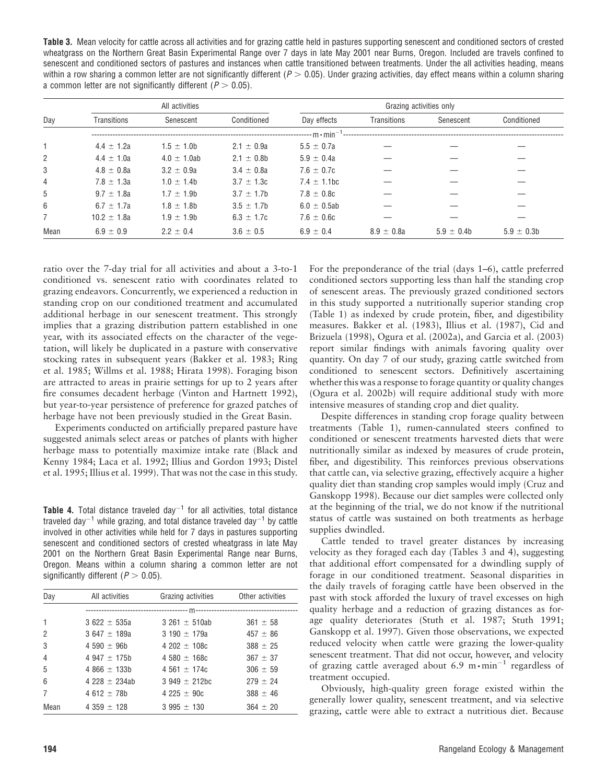Table 3. Mean velocity for cattle across all activities and for grazing cattle held in pastures supporting senescent and conditioned sectors of crested wheatgrass on the Northern Great Basin Experimental Range over 7 days in late May 2001 near Burns, Oregon. Included are travels confined to senescent and conditioned sectors of pastures and instances when cattle transitioned between treatments. Under the all activities heading, means within a row sharing a common letter are not significantly different ( $P > 0.05$ ). Under grazing activities, day effect means within a column sharing a common letter are not significantly different ( $P > 0.05$ ).

|                | All activities  |                  |                 | Grazing activities only   |                |                |                |
|----------------|-----------------|------------------|-----------------|---------------------------|----------------|----------------|----------------|
| Day            | Transitions     | Senescent        | Conditioned     | Day effects               | Transitions    | Senescent      | Conditioned    |
|                |                 |                  |                 | --- m $\cdot$ min $^{-1}$ |                |                |                |
|                | $4.4 \pm 1.2a$  | $1.5 \pm 1.0$ b  | $2.1 \pm 0.9a$  | $5.5 \pm 0.7a$            |                |                |                |
| $\overline{2}$ | $4.4 \pm 1.0a$  | $4.0 \pm 1.0$ ab | $2.1 \pm 0.8$   | $5.9 \pm 0.4a$            |                |                |                |
| 3              | $4.8 \pm 0.8a$  | $3.2 \pm 0.9a$   | $3.4 \pm 0.8a$  | $7.6 \pm 0.7c$            |                |                |                |
| $\overline{4}$ | $7.8 \pm 1.3a$  | $1.0 \pm 1.4$    | $3.7 \pm 1.3c$  | $7.4 \pm 1.1$ bc          |                |                |                |
| 5              | $9.7 \pm 1.8a$  | $1.7 \pm 1.9$ b  | $3.7 \pm 1.7$ b | $7.8 \pm 0.8c$            |                |                |                |
| 6              | $6.7 \pm 1.7a$  | $1.8 \pm 1.8$    | $3.5 \pm 1.7$ b | $6.0 \pm 0.5$ ab          |                |                |                |
| $\overline{7}$ | $10.2 \pm 1.8a$ | $1.9 \pm 1.9$    | $6.3 \pm 1.7c$  | $7.6 \pm 0.6c$            |                |                |                |
| Mean           | $6.9 \pm 0.9$   | $2.2 \pm 0.4$    | $3.6 \pm 0.5$   | $6.9 \pm 0.4$             | $8.9 \pm 0.8a$ | $5.9 \pm 0.4b$ | $5.9 \pm 0.3b$ |

ratio over the 7-day trial for all activities and about a 3-to-1 conditioned vs. senescent ratio with coordinates related to grazing endeavors. Concurrently, we experienced a reduction in standing crop on our conditioned treatment and accumulated additional herbage in our senescent treatment. This strongly implies that a grazing distribution pattern established in one year, with its associated effects on the character of the vegetation, will likely be duplicated in a pasture with conservative stocking rates in subsequent years (Bakker et al. 1983; Ring et al. 1985; Willms et al. 1988; Hirata 1998). Foraging bison are attracted to areas in prairie settings for up to 2 years after fire consumes decadent herbage (Vinton and Hartnett 1992), but year-to-year persistence of preference for grazed patches of herbage have not been previously studied in the Great Basin.

Experiments conducted on artificially prepared pasture have suggested animals select areas or patches of plants with higher herbage mass to potentially maximize intake rate (Black and Kenny 1984; Laca et al. 1992; Illius and Gordon 1993; Distel et al. 1995; Illius et al. 1999). That was not the case in this study.

**Table 4.** Total distance traveled day<sup>-1</sup> for all activities, total distance traveled day<sup>-1</sup> while grazing, and total distance traveled day<sup>-1</sup> by cattle involved in other activities while held for 7 days in pastures supporting senescent and conditioned sectors of crested wheatgrass in late May 2001 on the Northern Great Basin Experimental Range near Burns, Oregon. Means within a column sharing a common letter are not significantly different ( $P > 0.05$ ).

| Day            | All activities   | Grazing activities | Other activities |  |
|----------------|------------------|--------------------|------------------|--|
|                |                  |                    |                  |  |
| $\mathbf{1}$   | $3622 \pm 535a$  | $3.261 \pm 510$ ab | $361 \pm 58$     |  |
| 2              | $3.647 \pm 189a$ | $3190 \pm 179a$    | $457 \pm 86$     |  |
| 3              | 4 590 $\pm$ 96b  | $4202 + 108c$      | $388 \pm 25$     |  |
| $\overline{4}$ | 4 947 $\pm$ 175b | $4580 \pm 168c$    | $367 \pm 37$     |  |
| 5              | 4 866 $\pm$ 133b | 4 561 $\pm$ 174c   | $306 \pm 59$     |  |
| 6              | $4\,228 + 234ab$ | $3.949 \pm 212$ bc | $279 \pm 24$     |  |
| 7              | $4612 + 78h$     | $4.225 + 90c$      | $388 \pm 46$     |  |
| Mean           | 4 359 $\pm$ 128  | $3995 \pm 130$     | $364 \pm 20$     |  |

For the preponderance of the trial (days 1–6), cattle preferred conditioned sectors supporting less than half the standing crop of senescent areas. The previously grazed conditioned sectors in this study supported a nutritionally superior standing crop (Table 1) as indexed by crude protein, fiber, and digestibility measures. Bakker et al. (1983), Illius et al. (1987), Cid and Brizuela (1998), Ogura et al. (2002a), and Garcia et al. (2003) report similar findings with animals favoring quality over quantity. On day 7 of our study, grazing cattle switched from conditioned to senescent sectors. Definitively ascertaining whether this was a response to forage quantity or quality changes (Ogura et al. 2002b) will require additional study with more intensive measures of standing crop and diet quality.

Despite differences in standing crop forage quality between treatments (Table 1), rumen-cannulated steers confined to conditioned or senescent treatments harvested diets that were nutritionally similar as indexed by measures of crude protein, fiber, and digestibility. This reinforces previous observations that cattle can, via selective grazing, effectively acquire a higher quality diet than standing crop samples would imply (Cruz and Ganskopp 1998). Because our diet samples were collected only at the beginning of the trial, we do not know if the nutritional status of cattle was sustained on both treatments as herbage supplies dwindled.

Cattle tended to travel greater distances by increasing velocity as they foraged each day (Tables 3 and 4), suggesting that additional effort compensated for a dwindling supply of forage in our conditioned treatment. Seasonal disparities in the daily travels of foraging cattle have been observed in the past with stock afforded the luxury of travel excesses on high quality herbage and a reduction of grazing distances as forage quality deteriorates (Stuth et al. 1987; Stuth 1991; Ganskopp et al. 1997). Given those observations, we expected reduced velocity when cattle were grazing the lower-quality senescent treatment. That did not occur, however, and velocity of grazing cattle averaged about 6.9  $m \cdot min^{-1}$  regardless of treatment occupied.

Obviously, high-quality green forage existed within the generally lower quality, senescent treatment, and via selective grazing, cattle were able to extract a nutritious diet. Because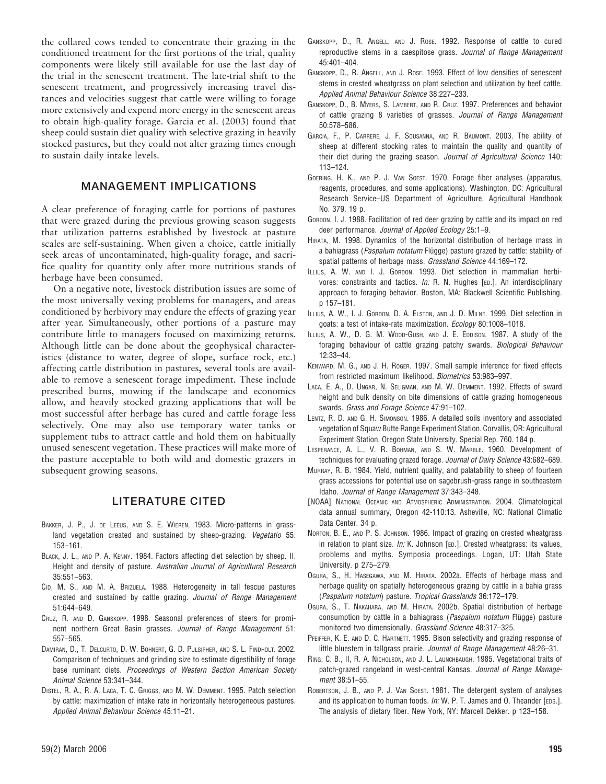the collared cows tended to concentrate their grazing in the conditioned treatment for the first portions of the trial, quality components were likely still available for use the last day of the trial in the senescent treatment. The late-trial shift to the senescent treatment, and progressively increasing travel distances and velocities suggest that cattle were willing to forage more extensively and expend more energy in the senescent areas to obtain high-quality forage. Garcia et al. (2003) found that sheep could sustain diet quality with selective grazing in heavily stocked pastures, but they could not alter grazing times enough to sustain daily intake levels.

## MANAGEMENT IMPLICATIONS

A clear preference of foraging cattle for portions of pastures that were grazed during the previous growing season suggests that utilization patterns established by livestock at pasture scales are self-sustaining. When given a choice, cattle initially seek areas of uncontaminated, high-quality forage, and sacrifice quality for quantity only after more nutritious stands of herbage have been consumed.

On a negative note, livestock distribution issues are some of the most universally vexing problems for managers, and areas conditioned by herbivory may endure the effects of grazing year after year. Simultaneously, other portions of a pasture may contribute little to managers focused on maximizing returns. Although little can be done about the geophysical characteristics (distance to water, degree of slope, surface rock, etc.) affecting cattle distribution in pastures, several tools are available to remove a senescent forage impediment. These include prescribed burns, mowing if the landscape and economics allow, and heavily stocked grazing applications that will be most successful after herbage has cured and cattle forage less selectively. One may also use temporary water tanks or supplement tubs to attract cattle and hold them on habitually unused senescent vegetation. These practices will make more of the pasture acceptable to both wild and domestic grazers in subsequent growing seasons.

## LITERATURE CITED

- BAKKER, J. P., J. DE LEEUS, AND S. E. WIEREN. 1983. Micro-patterns in grassland vegetation created and sustained by sheep-grazing. Vegetatio 55: 153–161.
- BLACK, J. L., AND P. A. KENNY. 1984. Factors affecting diet selection by sheep. II. Height and density of pasture. Australian Journal of Agricultural Research 35:551–563.
- CID, M. S., AND M. A. BRIZUELA. 1988. Heterogeneity in tall fescue pastures created and sustained by cattle grazing. Journal of Range Management 51:644–649.
- CRUZ, R. AND D. GANSKOPP. 1998. Seasonal preferences of steers for prominent northern Great Basin grasses. Journal of Range Management 51: 557–565.
- DAMIRAN, D., T. DELCURTO, D. W. BOHNERT, G. D. PULSIPHER, AND S. L. FINDHOLT. 2002. Comparison of techniques and grinding size to estimate digestibility of forage base ruminant diets. Proceedings of Western Section American Society Animal Science 53:341–344.
- DISTEL, R. A., R. A. LACA, T. C. GRIGGS, AND M. W. DEMMENT. 1995. Patch selection by cattle: maximization of intake rate in horizontally heterogeneous pastures. Applied Animal Behaviour Science 45:11–21.
- GANSKOPP, D., R. ANGELL, AND J. ROSE. 1992. Response of cattle to cured reproductive stems in a caespitose grass. Journal of Range Management 45:401–404.
- GANSKOPP, D., R. ANGELL, AND J. ROSE. 1993. Effect of low densities of senescent stems in crested wheatgrass on plant selection and utilization by beef cattle. Applied Animal Behaviour Science 38:227–233.
- GANSKOPP, D., B. MYERS, S. LAMBERT, AND R. CRUZ. 1997. Preferences and behavior of cattle grazing 8 varieties of grasses. Journal of Range Management 50:578–586.
- GARCIA, F., P. CARRERE, J. F. SOUSANNA, AND R. BAUMONT. 2003. The ability of sheep at different stocking rates to maintain the quality and quantity of their diet during the grazing season. Journal of Agricultural Science 140: 113–124.
- GOERING, H. K., AND P. J. VAN SOEST. 1970. Forage fiber analyses (apparatus, reagents, procedures, and some applications). Washington, DC: Agricultural Research Service–US Department of Agriculture. Agricultural Handbook No. 379. 19 p.
- GORDON, I. J. 1988. Facilitation of red deer grazing by cattle and its impact on red deer performance. Journal of Applied Ecology 25:1–9.
- HIRATA, M. 1998. Dynamics of the horizontal distribution of herbage mass in a bahiagrass (Paspalum notatum Flügge) pasture grazed by cattle: stability of spatial patterns of herbage mass. Grassland Science 44:169-172.
- ILLIUS, A. W. AND I. J. GORDON. 1993. Diet selection in mammalian herbivores: constraints and tactics.  $In: R. N.$  Hughes [ED.]. An interdisciplinary approach to foraging behavior. Boston, MA: Blackwell Scientific Publishing. p 157–181.
- ILLIUS, A. W., I. J. GORDON, D. A. ELSTON, AND J. D. MILNE. 1999. Diet selection in goats: a test of intake-rate maximization. Ecology 80:1008–1018.
- ILLIUS, A. W., D. G. M. WOOD-GUSH, AND J. E. EDDISON. 1987. A study of the foraging behaviour of cattle grazing patchy swards. Biological Behaviour 12:33–44.
- KENWARD, M. G., AND J. H. ROGER. 1997. Small sample inference for fixed effects from restricted maximum likelihood. Biometrics 53:983–997.
- LACA, E. A., D. UNGAR, N. SELIGMAN, AND M. W. DEMMENT. 1992. Effects of sward height and bulk density on bite dimensions of cattle grazing homogeneous swards. Grass and Forage Science 47:91–102.
- LENTZ, R. D. AND G. H. SIMONSON. 1986. A detailed soils inventory and associated vegetation of Squaw Butte Range Experiment Station. Corvallis, OR: Agricultural Experiment Station, Oregon State University. Special Rep. 760. 184 p.
- LESPERANCE, A. L., V. R. BOHMAN, AND S. W. MARBLE. 1960. Development of techniques for evaluating grazed forage. Journal of Dairy Science 43:682-689.
- MURRAY, R. B. 1984. Yield, nutrient quality, and palatability to sheep of fourteen grass accessions for potential use on sagebrush-grass range in southeastern Idaho. Journal of Range Management 37:343–348.
- [NOAA] NATIONAL OCEANIC AND ATMOSPHERIC ADMINISTRATION. 2004. Climatological data annual summary, Oregon 42-110:13. Asheville, NC: National Climatic Data Center. 34 p.
- NORTON, B. E., AND P. S. JOHNSON. 1986. Impact of grazing on crested wheatgrass in relation to plant size. In: K. Johnson  $[ED.]$ . Crested wheatgrass: its values, problems and myths. Symposia proceedings. Logan, UT: Utah State University. p 275–279.
- OGURA, S., H. HASEGAWA, AND M. HIRATA. 2002a. Effects of herbage mass and herbage quality on spatially heterogeneous grazing by cattle in a bahia grass (Paspalum notatum) pasture. Tropical Grasslands 36:172–179.
- OGURA, S., T. NAKAHARA, AND M. HIRATA. 2002b. Spatial distribution of herbage consumption by cattle in a bahiagrass (Paspalum notatum Flügge) pasture monitored two dimensionally. Grassland Science 48:317-325.
- PFEIFFER, K. E. AND D. C. HARTNETT. 1995. Bison selectivity and grazing response of little bluestem in tallgrass prairie. Journal of Range Management 48:26-31.
- RING, C. B., II, R. A. NICHOLSON, AND J. L. LAUNCHBAUGH. 1985. Vegetational traits of patch-grazed rangeland in west-central Kansas. Journal of Range Management 38:51–55.
- ROBERTSON, J. B., AND P. J. VAN SOEST. 1981. The detergent system of analyses and its application to human foods.  $In: W. P. T.$  James and O. Theander [EDS.]. The analysis of dietary fiber. New York, NY: Marcell Dekker. p 123–158.